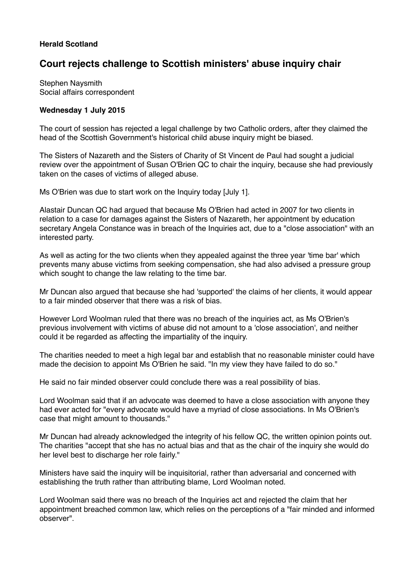## **Herald Scotland**

## **Court rejects challenge to Scottish ministers' abuse inquiry chair**

Stephen Naysmith Social affairs correspondent

## **Wednesday 1 July 2015**

The court of session has rejected a legal challenge by two Catholic orders, after they claimed the head of the Scottish Government's historical child abuse inquiry might be biased.

The Sisters of Nazareth and the Sisters of Charity of St Vincent de Paul had sought a judicial review over the appointment of Susan O'Brien QC to chair the inquiry, because she had previously taken on the cases of victims of alleged abuse.

Ms O'Brien was due to start work on the Inquiry today [July 1].

Alastair Duncan QC had argued that because Ms O'Brien had acted in 2007 for two clients in relation to a case for damages against the Sisters of Nazareth, her appointment by education secretary Angela Constance was in breach of the Inquiries act, due to a "close association" with an interested party.

As well as acting for the two clients when they appealed against the three year 'time bar' which prevents many abuse victims from seeking compensation, she had also advised a pressure group which sought to change the law relating to the time bar.

Mr Duncan also argued that because she had 'supported' the claims of her clients, it would appear to a fair minded observer that there was a risk of bias.

However Lord Woolman ruled that there was no breach of the inquiries act, as Ms O'Brien's previous involvement with victims of abuse did not amount to a 'close association', and neither could it be regarded as affecting the impartiality of the inquiry.

The charities needed to meet a high legal bar and establish that no reasonable minister could have made the decision to appoint Ms O'Brien he said. "In my view they have failed to do so."

He said no fair minded observer could conclude there was a real possibility of bias.

Lord Woolman said that if an advocate was deemed to have a close association with anyone they had ever acted for "every advocate would have a myriad of close associations. In Ms O'Brien's case that might amount to thousands."

Mr Duncan had already acknowledged the integrity of his fellow QC, the written opinion points out. The charities "accept that she has no actual bias and that as the chair of the inquiry she would do her level best to discharge her role fairly."

Ministers have said the inquiry will be inquisitorial, rather than adversarial and concerned with establishing the truth rather than attributing blame, Lord Woolman noted.

Lord Woolman said there was no breach of the Inquiries act and rejected the claim that her appointment breached common law, which relies on the perceptions of a "fair minded and informed observer".